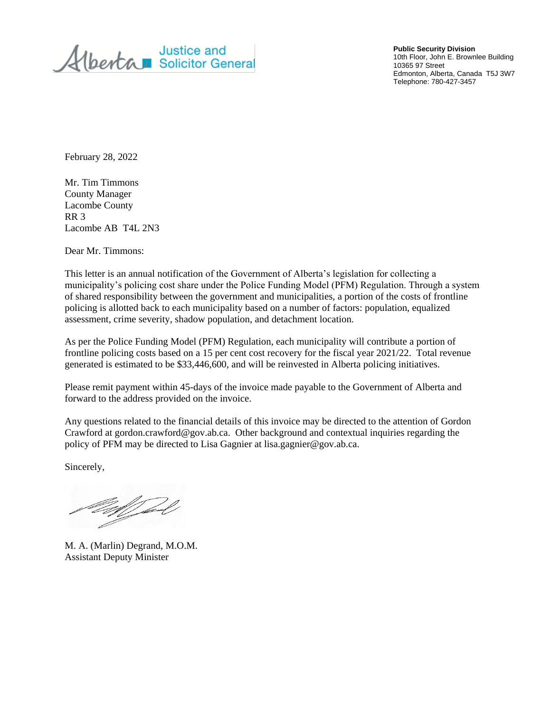Justice and<br>Alberta Solicitor General

**Public Security Division** 10th Floor, John E. Brownlee Building 10365 97 Street Edmonton, Alberta, Canada T5J 3W7 Telephone: 780-427-3457

February 28, 2022

Mr. Tim Timmons County Manager Lacombe County RR 3 Lacombe AB T4L 2N3

Dear Mr. Timmons:

This letter is an annual notification of the Government of Alberta's legislation for collecting a municipality's policing cost share under the Police Funding Model (PFM) Regulation. Through a system of shared responsibility between the government and municipalities, a portion of the costs of frontline policing is allotted back to each municipality based on a number of factors: population, equalized assessment, crime severity, shadow population, and detachment location.

As per the Police Funding Model (PFM) Regulation, each municipality will contribute a portion of frontline policing costs based on a 15 per cent cost recovery for the fiscal year 2021/22. Total revenue generated is estimated to be \$33,446,600, and will be reinvested in Alberta policing initiatives.

Please remit payment within 45-days of the invoice made payable to the Government of Alberta and forward to the address provided on the invoice.

Any questions related to the financial details of this invoice may be directed to the attention of Gordon Crawford at gordon.crawford@gov.ab.ca. Other background and contextual inquiries regarding the policy of PFM may be directed to Lisa Gagnier at lisa.gagnier@gov.ab.ca.

Sincerely,

M. A. (Marlin) Degrand, M.O.M. Assistant Deputy Minister